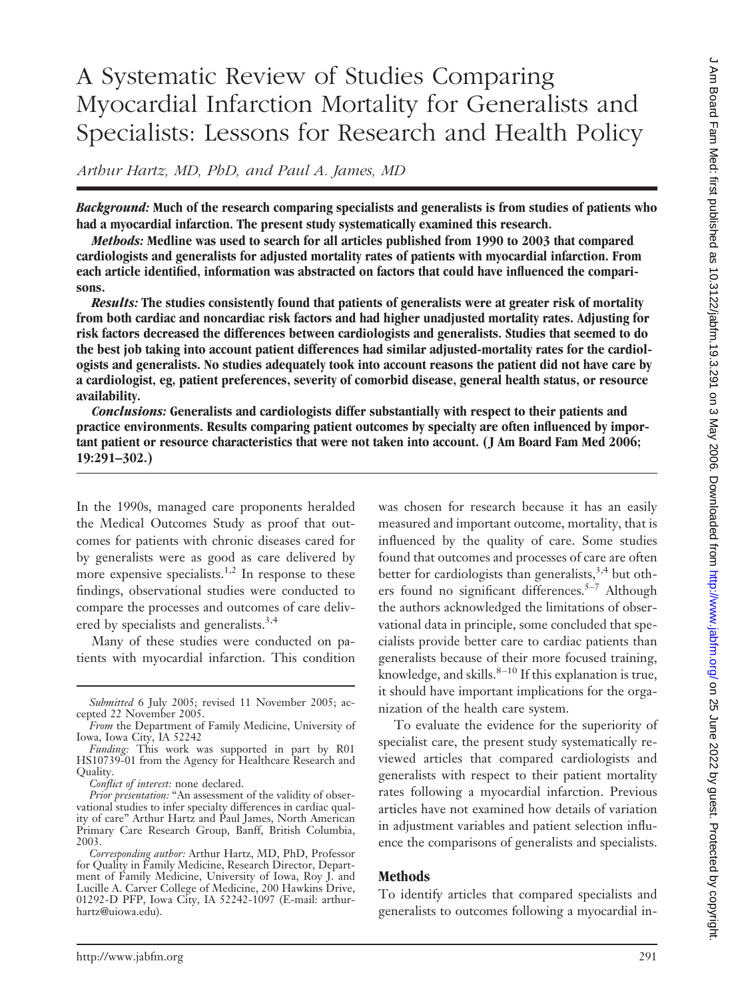# A Systematic Review of Studies Comparing Myocardial Infarction Mortality for Generalists and Specialists: Lessons for Research and Health Policy

*Arthur Hartz, MD, PhD, and Paul A. James, MD*

*Background:* **Much of the research comparing specialists and generalists is from studies of patients who had a myocardial infarction. The present study systematically examined this research.**

*Methods:* **Medline was used to search for all articles published from 1990 to 2003 that compared cardiologists and generalists for adjusted mortality rates of patients with myocardial infarction. From each article identified, information was abstracted on factors that could have influenced the comparisons.**

*Results:* **The studies consistently found that patients of generalists were at greater risk of mortality from both cardiac and noncardiac risk factors and had higher unadjusted mortality rates. Adjusting for risk factors decreased the differences between cardiologists and generalists. Studies that seemed to do the best job taking into account patient differences had similar adjusted-mortality rates for the cardiologists and generalists. No studies adequately took into account reasons the patient did not have care by a cardiologist, eg, patient preferences, severity of comorbid disease, general health status, or resource availability.**

*Conclusions:* **Generalists and cardiologists differ substantially with respect to their patients and practice environments. Results comparing patient outcomes by specialty are often influenced by important patient or resource characteristics that were not taken into account. ( J Am Board Fam Med 2006; 19:291–302.)**

In the 1990s, managed care proponents heralded the Medical Outcomes Study as proof that outcomes for patients with chronic diseases cared for by generalists were as good as care delivered by more expensive specialists.<sup>1,2</sup> In response to these findings, observational studies were conducted to compare the processes and outcomes of care delivered by specialists and generalists.<sup>3,4</sup>

Many of these studies were conducted on patients with myocardial infarction. This condition was chosen for research because it has an easily measured and important outcome, mortality, that is influenced by the quality of care. Some studies found that outcomes and processes of care are often better for cardiologists than generalists,  $3,4$  but others found no significant differences.<sup>5–7</sup> Although the authors acknowledged the limitations of observational data in principle, some concluded that specialists provide better care to cardiac patients than generalists because of their more focused training, knowledge, and skills. $8-10$  If this explanation is true, it should have important implications for the organization of the health care system.

To evaluate the evidence for the superiority of specialist care, the present study systematically reviewed articles that compared cardiologists and generalists with respect to their patient mortality rates following a myocardial infarction. Previous articles have not examined how details of variation in adjustment variables and patient selection influence the comparisons of generalists and specialists.

## **Methods**

To identify articles that compared specialists and generalists to outcomes following a myocardial in-

*Submitted* 6 July 2005; revised 11 November 2005; accepted 22 November 2005.

*From* the Department of Family Medicine, University of Iowa, Iowa City, IA 52242

*Funding:* This work was supported in part by R01 HS10739-01 from the Agency for Healthcare Research and Quality.

*Conflict of interest:* none declared.

*Prior presentation:* "An assessment of the validity of observational studies to infer specialty differences in cardiac quality of care" Arthur Hartz and Paul James, North American Primary Care Research Group, Banff, British Columbia, 2003.

*Corresponding author:* Arthur Hartz, MD, PhD, Professor for Quality in Family Medicine, Research Director, Department of Family Medicine, University of Iowa, Roy J. and Lucille A. Carver College of Medicine, 200 Hawkins Drive, 01292-D PFP, Iowa City, IA 52242-1097 (E-mail: arthurhartz@uiowa.edu).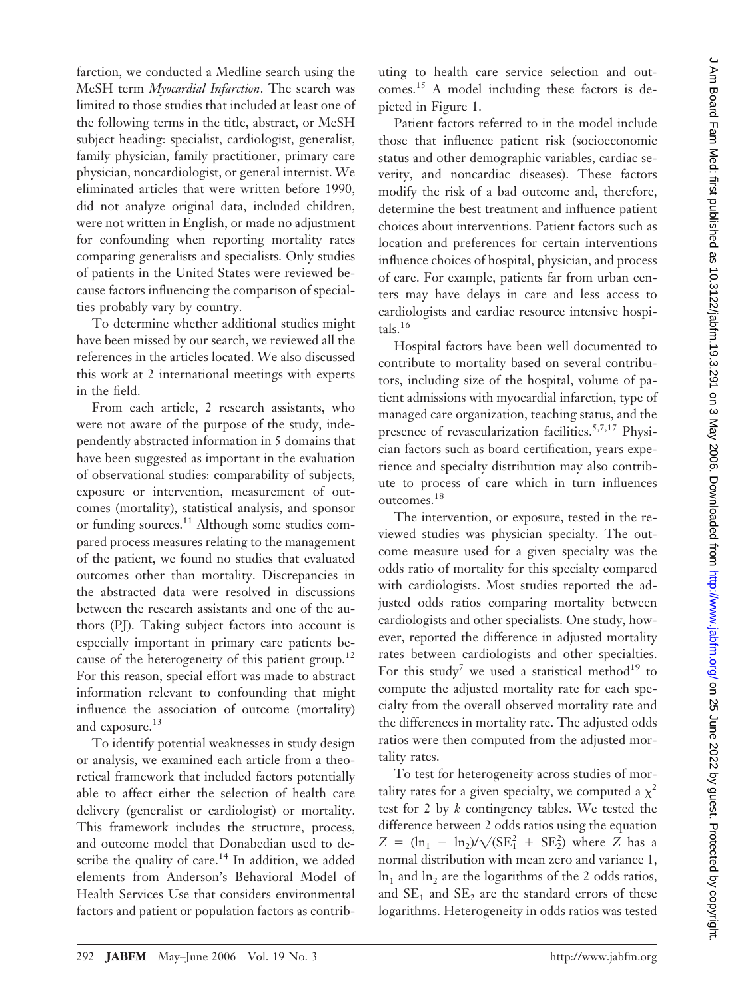farction, we conducted a Medline search using the MeSH term *Myocardial Infarction*. The search was limited to those studies that included at least one of the following terms in the title, abstract, or MeSH subject heading: specialist, cardiologist, generalist, family physician, family practitioner, primary care physician, noncardiologist, or general internist. We eliminated articles that were written before 1990, did not analyze original data, included children, were not written in English, or made no adjustment for confounding when reporting mortality rates comparing generalists and specialists. Only studies of patients in the United States were reviewed because factors influencing the comparison of specialties probably vary by country.

To determine whether additional studies might have been missed by our search, we reviewed all the references in the articles located. We also discussed this work at 2 international meetings with experts in the field.

From each article, 2 research assistants, who were not aware of the purpose of the study, independently abstracted information in 5 domains that have been suggested as important in the evaluation of observational studies: comparability of subjects, exposure or intervention, measurement of outcomes (mortality), statistical analysis, and sponsor or funding sources.<sup>11</sup> Although some studies compared process measures relating to the management of the patient, we found no studies that evaluated outcomes other than mortality. Discrepancies in the abstracted data were resolved in discussions between the research assistants and one of the authors (PJ). Taking subject factors into account is especially important in primary care patients because of the heterogeneity of this patient group.<sup>12</sup> For this reason, special effort was made to abstract information relevant to confounding that might influence the association of outcome (mortality) and exposure.<sup>13</sup>

To identify potential weaknesses in study design or analysis, we examined each article from a theoretical framework that included factors potentially able to affect either the selection of health care delivery (generalist or cardiologist) or mortality. This framework includes the structure, process, and outcome model that Donabedian used to describe the quality of care.<sup>14</sup> In addition, we added elements from Anderson's Behavioral Model of Health Services Use that considers environmental factors and patient or population factors as contributing to health care service selection and outcomes.15 A model including these factors is depicted in Figure 1.

Patient factors referred to in the model include those that influence patient risk (socioeconomic status and other demographic variables, cardiac severity, and noncardiac diseases). These factors modify the risk of a bad outcome and, therefore, determine the best treatment and influence patient choices about interventions. Patient factors such as location and preferences for certain interventions influence choices of hospital, physician, and process of care. For example, patients far from urban centers may have delays in care and less access to cardiologists and cardiac resource intensive hospitals.16

Hospital factors have been well documented to contribute to mortality based on several contributors, including size of the hospital, volume of patient admissions with myocardial infarction, type of managed care organization, teaching status, and the presence of revascularization facilities.<sup>5,7,17</sup> Physician factors such as board certification, years experience and specialty distribution may also contribute to process of care which in turn influences outcomes.18

The intervention, or exposure, tested in the reviewed studies was physician specialty. The outcome measure used for a given specialty was the odds ratio of mortality for this specialty compared with cardiologists. Most studies reported the adjusted odds ratios comparing mortality between cardiologists and other specialists. One study, however, reported the difference in adjusted mortality rates between cardiologists and other specialties. For this study<sup>7</sup> we used a statistical method<sup>19</sup> to compute the adjusted mortality rate for each specialty from the overall observed mortality rate and the differences in mortality rate. The adjusted odds ratios were then computed from the adjusted mortality rates.

To test for heterogeneity across studies of mortality rates for a given specialty, we computed a  $\chi^2$ test for 2 by *k* contingency tables. We tested the difference between 2 odds ratios using the equation  $Z = (\ln_1 - \ln_2)/\sqrt{(SE_1^2 + SE_2^2)}$  where *Z* has a normal distribution with mean zero and variance 1,  $\ln_1$  and  $\ln_2$  are the logarithms of the 2 odds ratios, and  $SE<sub>1</sub>$  and  $SE<sub>2</sub>$  are the standard errors of these logarithms. Heterogeneity in odds ratios was tested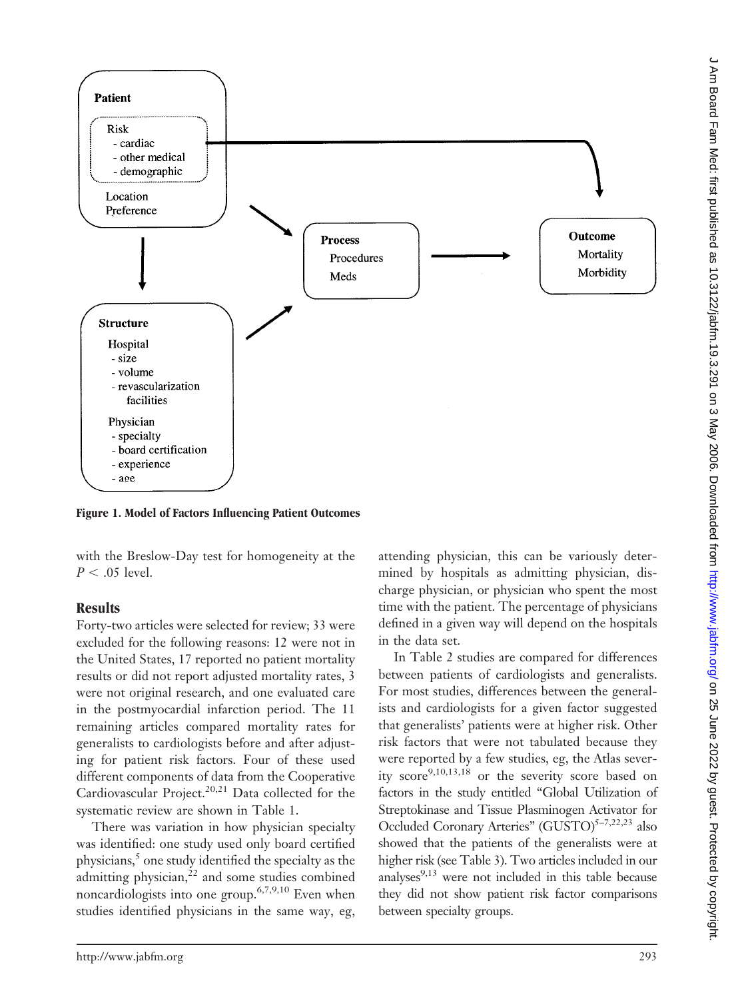

**Figure 1. Model of Factors Influencing Patient Outcomes**

with the Breslow-Day test for homogeneity at the  $P < .05$  level.

### **Results**

Forty-two articles were selected for review; 33 were excluded for the following reasons: 12 were not in the United States, 17 reported no patient mortality results or did not report adjusted mortality rates, 3 were not original research, and one evaluated care in the postmyocardial infarction period. The 11 remaining articles compared mortality rates for generalists to cardiologists before and after adjusting for patient risk factors. Four of these used different components of data from the Cooperative Cardiovascular Project.<sup>20,21</sup> Data collected for the systematic review are shown in Table 1.

There was variation in how physician specialty was identified: one study used only board certified physicians, $5$  one study identified the specialty as the admitting physician, $^{22}$  and some studies combined noncardiologists into one group.6,7,9,10 Even when studies identified physicians in the same way, eg, attending physician, this can be variously determined by hospitals as admitting physician, discharge physician, or physician who spent the most time with the patient. The percentage of physicians defined in a given way will depend on the hospitals in the data set.

In Table 2 studies are compared for differences between patients of cardiologists and generalists. For most studies, differences between the generalists and cardiologists for a given factor suggested that generalists' patients were at higher risk. Other risk factors that were not tabulated because they were reported by a few studies, eg, the Atlas severity score<sup>9,10,13,18</sup> or the severity score based on factors in the study entitled "Global Utilization of Streptokinase and Tissue Plasminogen Activator for Occluded Coronary Arteries" (GUSTO) $5-7,22,23$  also showed that the patients of the generalists were at higher risk (see Table 3). Two articles included in our analyses $9,13$  were not included in this table because they did not show patient risk factor comparisons between specialty groups.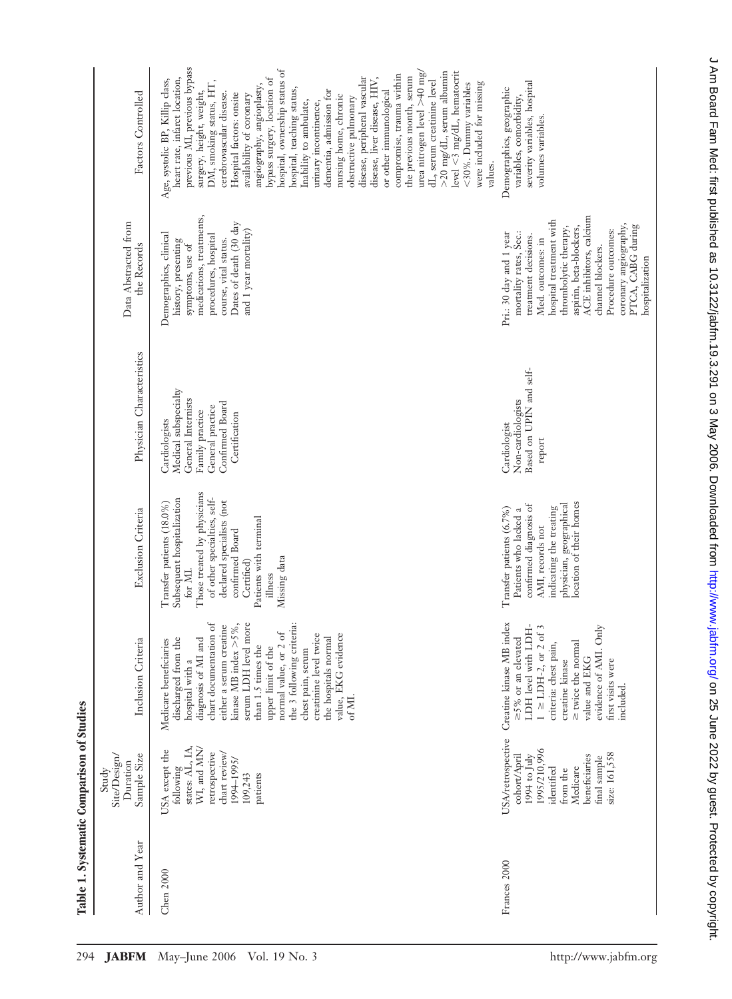| Author and Year | Sample Size<br>Site/Design/<br>Duration<br>Study                                                                                                                       | Inclusion Criteria                                                                                                                                                                                                                                                                                                                                                                                           | Exclusion Criteria                                                                                                                                                                                                                                  | Physician Characteristics                                                                                                              | Data Abstracted from<br>the Records                                                                                                                                                                                                                                                                                   | Factors Controlled                                                                                                                                                                                                                                                                                                                                                                                                                                                                                                                                                                                                                                                                                                                                                                                                                                        |
|-----------------|------------------------------------------------------------------------------------------------------------------------------------------------------------------------|--------------------------------------------------------------------------------------------------------------------------------------------------------------------------------------------------------------------------------------------------------------------------------------------------------------------------------------------------------------------------------------------------------------|-----------------------------------------------------------------------------------------------------------------------------------------------------------------------------------------------------------------------------------------------------|----------------------------------------------------------------------------------------------------------------------------------------|-----------------------------------------------------------------------------------------------------------------------------------------------------------------------------------------------------------------------------------------------------------------------------------------------------------------------|-----------------------------------------------------------------------------------------------------------------------------------------------------------------------------------------------------------------------------------------------------------------------------------------------------------------------------------------------------------------------------------------------------------------------------------------------------------------------------------------------------------------------------------------------------------------------------------------------------------------------------------------------------------------------------------------------------------------------------------------------------------------------------------------------------------------------------------------------------------|
| Chen 2000       | states: AL, IA,<br>WI, and MN/<br>USA except the<br>retrospective<br>chart review/<br>1994-1995/<br>$\operatorname{following}$<br>109,243<br>patients                  | kinase MB index $>5\%$ ,<br>serum LDH level more<br>the 3 following criteria:<br>ð<br>either a serum creatine<br>normal value, or 2 of<br>chart documentation<br>creatinine level twice<br>the hospitals normal<br>value, EKG evidence<br>discharged from the<br>diagnosis of MI and<br>Medicare beneficiaries<br>than 1.5 times the<br>upper limit of the<br>chest pain, serum<br>hospital with a<br>of MI. | Those treated by physicians<br>Subsequent hospitalization<br>of other specialties, self-<br>declared specialists (not<br>Transfer patients (18.0%)<br>Patients with terminal<br>confirmed Board<br>Missing data<br>Certified)<br>for MI.<br>illness | Medical subspecialty<br>General Internists<br>Confirmed Board<br>General practice<br>Family practice<br>Certification<br>Cardiologists | medications, treatments,<br>Dates of death (30 day<br>and 1 year mortality)<br>Demographics, clinical<br>procedures, hospital<br>course, vital status.<br>history, presenting<br>symptoms, use of                                                                                                                     | previous MI, previous bypass<br>hospital, ownership status of<br>urea nitrogen level $>40$ mg<br>$>$ 20 mg/dL, serum albumin<br>level $<$ 3 mg/dL, hematocrit<br>compromise, trauma within<br>the previous month, serum<br>bypass surgery, location of<br>disease, peripheral vascular<br>heart rate, infarct location,<br>Age, systolic BP, Killip class,<br>disease, liver disease, HIV,<br>dL, serum creatinine level<br>were included for missing<br>DM, smoking status, HT,<br><30%. Dummy variables<br>angiography, angioplasty,<br>or other immunological<br>surgery, height, weight,<br>hospital, teaching status,<br>dementia, admission for<br>cerebrovascular disease.<br>Hospital factors: onsite<br>availability of coronary<br>nursing home, chronic<br>obstructive pulmonary<br>Inability to ambulate,<br>urinary incontinence,<br>values. |
| Frances 2000    | <b>USA/retrospective</b><br>1995/210,996<br>size: 161,558<br>1994 to $\int$ uly<br>cohort/April<br>beneficiaries<br>final sample<br>Medicare<br>identified<br>from the | Creatine kinase MB index<br>LDH level with LDH-<br>evidence of AMI. Only<br>$1 \ge$ LDH-2, or 2 of 3<br>$\geq$ 5% or an elevated<br>≥ twice the normal<br>criteria: chest pain,<br>value and EKG<br>creatine kinase<br>first visits were<br>included.                                                                                                                                                        | location of their homes<br>physician, geographical<br>confirmed diagnosis of<br>indicating the treating<br>Transfer patients (6.7%)<br>Patients who lacked a<br>AMI, records not                                                                    | Based on UPIN and self-<br>Non-cardiologists<br>Cardiologist<br>report                                                                 | ACE inhibitors, calcium<br>hospital treatment with<br>coronary angiography,<br>PTCA, CABG during<br>thrombolytic therapy,<br>aspirin, beta-blockers,<br>Procedure outcomes:<br>mortality rates, Sec.:<br>Pri.: 30 day and 1 year<br>treatment decisions.<br>Med. outcomes: in<br>channel blockers.<br>hospitalization | severity variables, hospital<br>Demographics, geographic<br>variables, comorbidity,<br>volumes variables.                                                                                                                                                                                                                                                                                                                                                                                                                                                                                                                                                                                                                                                                                                                                                 |

**Table 1. Systematic Comparison of Studies**

Table 1. Systematic Comparison of Studies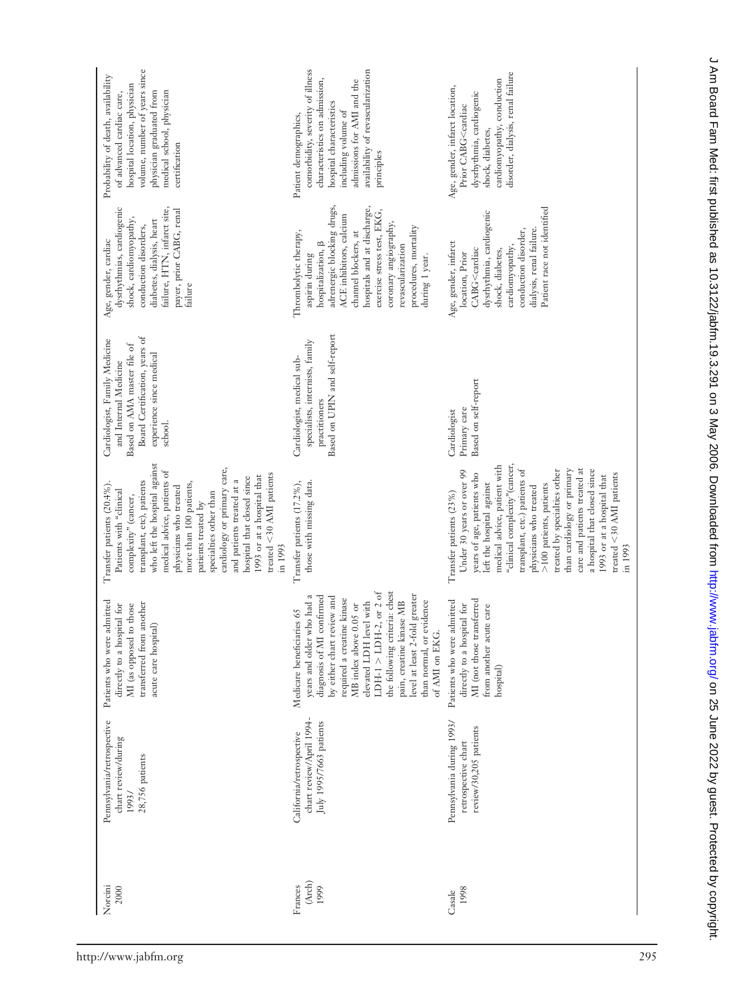| Pennsylvania/retrospective<br>chart review/during<br>28,756 patients<br>1993/   | Patients who were admitted<br>transferred from another<br>MI (as opposed to those<br>directly to a hospital for<br>acute care hospital)                                                                                                                                                                                                                                      | who left the hospital against<br>cardiology or primary care,<br>medical advice, patients of<br>treated $<$ 30 AMI patients<br>1993 or at a hospital that<br>hospital that closed since<br>and patients treated at a<br>transplant, etc), patients<br>more than 100 patients,<br>Transfer patients (20.4%).<br>physicians who treated<br>Patients with "clinical<br>specialties other than<br>complexity" (cancer,<br>patients treated by<br>in 1993                           | Board Certification, years of<br>Cardiologist, Family Medicine<br>Based on AMA master file of<br>experience since medical<br>and Internal Medicine<br>school. | dysrhythmias, cardiogenic<br>failure, HTN, infarct site,<br>payer, prior CABG, renal<br>shock, cardiomyopathy,<br>diabetes, dialysis, heart<br>conduction disorders,<br>Age, gender, cardiac<br>failure                                                                                                    | volume, number of years since<br>Probability of death, availability<br>hospital location, physician<br>physician graduated from<br>medical school, physician<br>of advanced cardiac care,<br>certification                     |
|---------------------------------------------------------------------------------|------------------------------------------------------------------------------------------------------------------------------------------------------------------------------------------------------------------------------------------------------------------------------------------------------------------------------------------------------------------------------|-------------------------------------------------------------------------------------------------------------------------------------------------------------------------------------------------------------------------------------------------------------------------------------------------------------------------------------------------------------------------------------------------------------------------------------------------------------------------------|---------------------------------------------------------------------------------------------------------------------------------------------------------------|------------------------------------------------------------------------------------------------------------------------------------------------------------------------------------------------------------------------------------------------------------------------------------------------------------|--------------------------------------------------------------------------------------------------------------------------------------------------------------------------------------------------------------------------------|
| chart review/April 1994-<br>July 1995/7663 patients<br>California/retrospective | the following criteria: chest<br>LDH-1 $>$ LDH-2, or 2 of<br>level at least 2-fold greater<br>years and older who had a<br>diagnosis of MI confirmed<br>by either chart review and<br>required a creatine kinase<br>pain, creatine kinase MB<br>elevated LDH level with<br>than normal, or evidence<br>MB index above 0.05 or<br>Medicare beneficiaries 65<br>of AMI on EKG. | those with missing data.<br>Transfer patients (17.2%),                                                                                                                                                                                                                                                                                                                                                                                                                        | Based on UPIN and self-report<br>specialists, internists, family<br>Cardiologist, medical sub-<br>practitioners                                               | adrenergic blocking drugs,<br>hospitals and at discharge,<br>exercise stress test, EKG,<br>ACE inhibitors, calcium<br>coronary angiography,<br>procedures, mortality<br>channel blockers, at<br>Thrombolytic therapy,<br>hospitalization, $\beta$<br>revascularization<br>aspirin during<br>during 1 year. | availability of revascularization<br>comorbidity, severity of illness<br>characteristics on admission,<br>admissions for AMI and the<br>hospital characteristics<br>including volume of<br>Patient demographics,<br>principles |
| Pennsylvania during 1993/<br>review/30,205 patients<br>retrospective chart      | MI (not those transferred<br>Patients who were admitted<br>directly to a hospital for<br>from another acute care<br>hospital)                                                                                                                                                                                                                                                | "clinical complexity"(cancer,<br>medical advice, patient with<br>transplant, etc.) patients of<br>care and patients treated at<br>than cardiology or primary<br>treated by specialties other<br>a hospital that closed since<br>Under 30 years or over 99<br>treated $<\!30$ AMI patients<br>1993 or at a hospital that<br>years of age, patients who<br>left the hospital against<br>>100 patients, patients<br>physicians who treated<br>Transfer patients (23%)<br>in 1993 | Based on self-report<br>Primary care<br>Cardiologist                                                                                                          | Patient race not identified<br>dysrhythmia, cardiogenic<br>dialysis, renal failure.<br>conduction disorder,<br>Age, gender, infarct<br>cardiomyopathy,<br>CABG <cardiac<br>shock, diabetes,<br/>location, Prior</cardiac<br>                                                                               | disorder, dialysis, renal failure<br>cardiomyopathy, conduction<br>Age, gender, infarct location,<br>dysrhythmia, cardiogenic<br>Prior CABG <cardiac<br>shock, diabetes,</cardiac<br>                                          |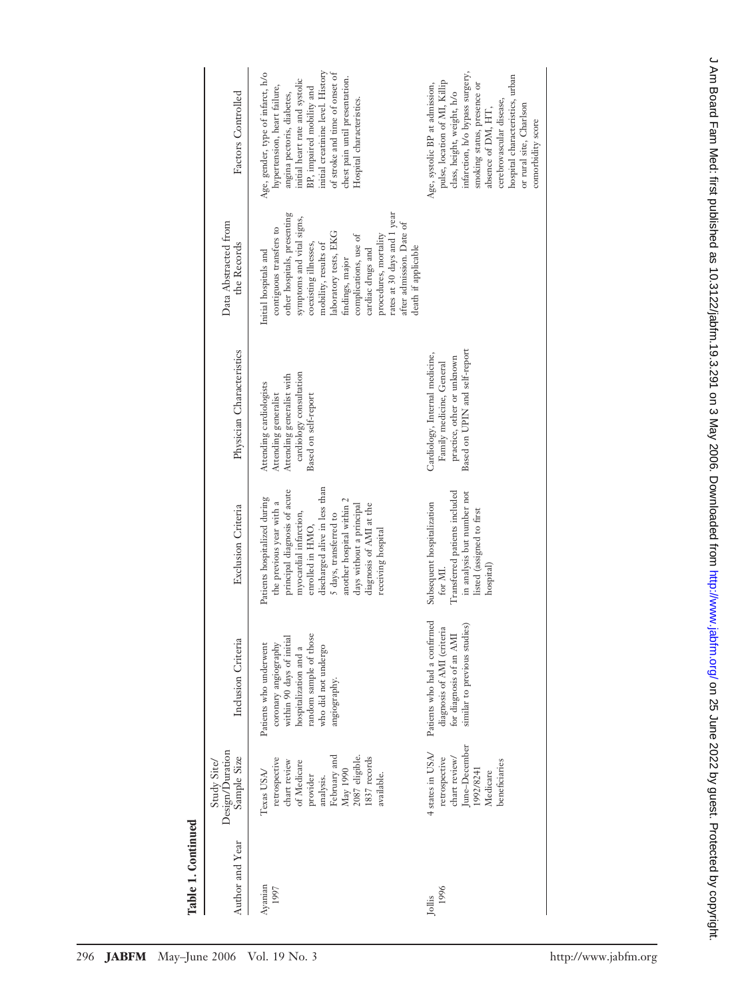| ı |
|---|
|   |
|   |

| Factors Controlled                            | Age, gender, type of infarct, h/o<br>initial creatinine level. History<br>of stroke and time of onset of<br>chest pain until presentation.<br>initial heart rate and systolic<br>hypertension, heart failure,<br>BP, impaired mobility and<br>angina pectoris, diabetes,<br>Hospital characteristics.                                                              | infarction, h/o bypass surgery,<br>hospital characteristics, urban<br>pulse, location of MI, Killip<br>Age, systolic BP at admission,<br>smoking status, presence or<br>class, height, weight, h/o<br>cerebrovascular disease,<br>or rural site, Charlson<br>absence of DM, HT,<br>comorbidity score |
|-----------------------------------------------|--------------------------------------------------------------------------------------------------------------------------------------------------------------------------------------------------------------------------------------------------------------------------------------------------------------------------------------------------------------------|------------------------------------------------------------------------------------------------------------------------------------------------------------------------------------------------------------------------------------------------------------------------------------------------------|
| Data Abstracted from<br>the Records           | rates at 30 days and 1 year<br>other hospitals, presenting<br>symptoms and vital signs,<br>after admission. Date of<br>contiguous transfers to<br>laboratory tests, EKG<br>complications, use of<br>procedures, mortality<br>mobility, results of<br>coexisting illnesses,<br>death if applicable<br>Initial hospitals and<br>cardiac drugs and<br>findings, major |                                                                                                                                                                                                                                                                                                      |
| Physician Characteristics                     | cardiology consultation<br>Attending generalist with<br>Attending cardiologists<br>Attending generalist<br>Based on self-report                                                                                                                                                                                                                                    | Based on UPIN and self-report<br>Cardiology, Internal medicine,<br>practice, other or unknown<br>Family medicine, General                                                                                                                                                                            |
| Exclusion Criteria                            | discharged alive in less than<br>principal diagnosis of acute<br>Patients hospitalized during<br>another hospital within 2<br>the previous year with a<br>days without a principal<br>diagnosis of AMI at the<br>myocardial infarction,<br>5 days, transferred to<br>enrolled in HMO,<br>receiving hospital                                                        | Transferred patients included<br>in analysis but number not<br>Subsequent hospitalization<br>listed (assigned to first<br>hospital)<br>for MI.                                                                                                                                                       |
| Inclusion Criteria                            | random sample of those<br>within 90 days of initial<br>Patients who underwent<br>coronary angiography<br>hospitalization and a<br>who did not undergo<br>angiography.                                                                                                                                                                                              | Patients who had a confirmed<br>similar to previous studies)<br>diagnosis of AMI (criteria<br>for diagnosis of an AMI                                                                                                                                                                                |
| Design/Duration<br>Sample Size<br>Study Site/ | analysis.<br>February and<br>May 1990<br>2087 eligible.<br>1837 records<br>retrospective<br>chart review<br>of Medicare<br>$\mathrm{Texas~USA}$<br>ıvailable.<br>provider                                                                                                                                                                                          | June-December<br>4 states in USA/<br>retrospective<br>chart review/<br>beneficiaries<br>1992/8241<br>Medicare                                                                                                                                                                                        |
| Author and Year                               | Ayanian<br>1997                                                                                                                                                                                                                                                                                                                                                    | 1996<br>Jollis                                                                                                                                                                                                                                                                                       |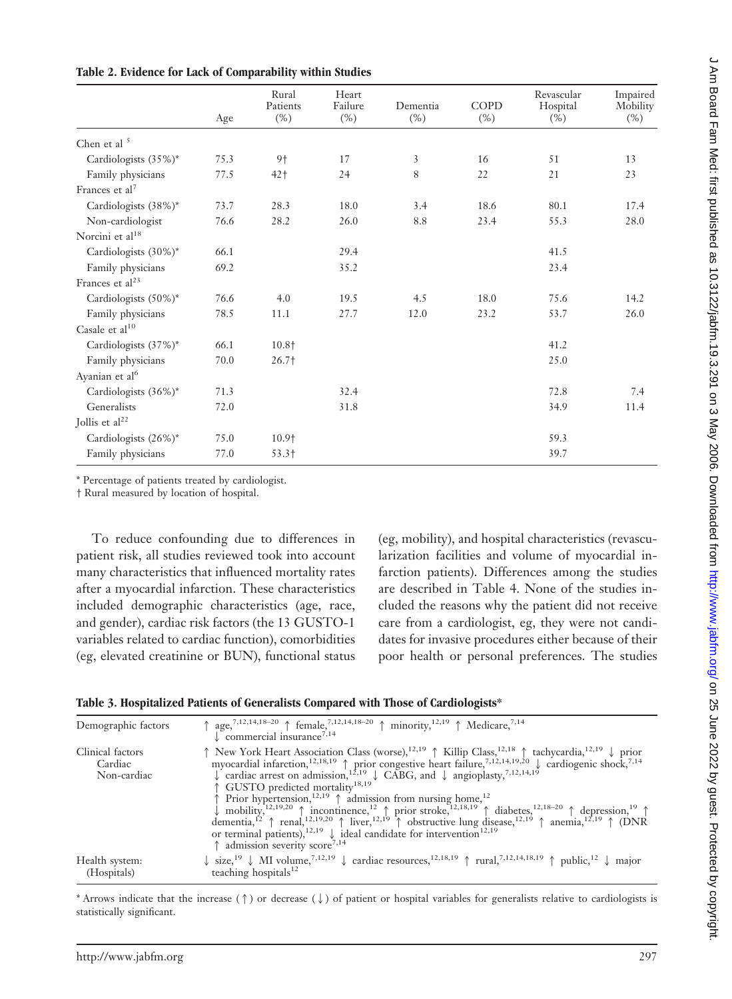|                             | Age  | Rural<br>Patients<br>$(\%)$ | Heart<br>Failure<br>$(\%)$ | Dementia<br>$(\%)$ | <b>COPD</b><br>$(\%)$ | Revascular<br>Hospital<br>$(\%)$ | Impaired<br>Mobility<br>$(\%)$ |
|-----------------------------|------|-----------------------------|----------------------------|--------------------|-----------------------|----------------------------------|--------------------------------|
| Chen et al <sup>5</sup>     |      |                             |                            |                    |                       |                                  |                                |
| Cardiologists (35%)*        | 75.3 | 9†                          | 17                         | 3                  | 16                    | 51                               | 13                             |
| Family physicians           | 77.5 | $42+$                       | 24                         | $\,8\,$            | 22                    | 21                               | 23                             |
| Frances et al <sup>7</sup>  |      |                             |                            |                    |                       |                                  |                                |
| Cardiologists (38%)*        | 73.7 | 28.3                        | 18.0                       | 3.4                | 18.6                  | 80.1                             | 17.4                           |
| Non-cardiologist            | 76.6 | 28.2                        | 26.0                       | 8.8                | 23.4                  | 55.3                             | 28.0                           |
| Norcini et al <sup>18</sup> |      |                             |                            |                    |                       |                                  |                                |
| Cardiologists (30%)*        | 66.1 |                             | 29.4                       |                    |                       | 41.5                             |                                |
| Family physicians           | 69.2 |                             | 35.2                       |                    |                       | 23.4                             |                                |
| Frances et $al23$           |      |                             |                            |                    |                       |                                  |                                |
| Cardiologists (50%)*        | 76.6 | 4.0                         | 19.5                       | 4.5                | 18.0                  | 75.6                             | 14.2                           |
| Family physicians           | 78.5 | 11.1                        | 27.7                       | 12.0               | 23.2                  | 53.7                             | 26.0                           |
| Casale et al <sup>10</sup>  |      |                             |                            |                    |                       |                                  |                                |
| Cardiologists (37%)*        | 66.1 | 10.8 <sup>+</sup>           |                            |                    |                       | 41.2                             |                                |
| Family physicians           | 70.0 | $26.7+$                     |                            |                    |                       | 25.0                             |                                |
| Ayanian et al <sup>6</sup>  |      |                             |                            |                    |                       |                                  |                                |
| Cardiologists (36%)*        | 71.3 |                             | 32.4                       |                    |                       | 72.8                             | 7.4                            |
| Generalists                 | 72.0 |                             | 31.8                       |                    |                       | 34.9                             | 11.4                           |
| Jollis et al <sup>22</sup>  |      |                             |                            |                    |                       |                                  |                                |
| Cardiologists (26%)*        | 75.0 | 10.9 <sup>+</sup>           |                            |                    |                       | 59.3                             |                                |
| Family physicians           | 77.0 | 53.3+                       |                            |                    |                       | 39.7                             |                                |

**Table 2. Evidence for Lack of Comparability within Studies**

\* Percentage of patients treated by cardiologist.

† Rural measured by location of hospital.

To reduce confounding due to differences in patient risk, all studies reviewed took into account many characteristics that influenced mortality rates after a myocardial infarction. These characteristics included demographic characteristics (age, race, and gender), cardiac risk factors (the 13 GUSTO-1 variables related to cardiac function), comorbidities (eg, elevated creatinine or BUN), functional status (eg, mobility), and hospital characteristics (revascularization facilities and volume of myocardial infarction patients). Differences among the studies are described in Table 4. None of the studies included the reasons why the patient did not receive care from a cardiologist, eg, they were not candidates for invasive procedures either because of their poor health or personal preferences. The studies

| Table 3. Hospitalized Patients of Generalists Compared with Those of Cardiologists* |  |  |  |  |
|-------------------------------------------------------------------------------------|--|--|--|--|
|                                                                                     |  |  |  |  |

| Demographic factors                        | $\uparrow$ age, <sup>7,12,14,18-20</sup> $\uparrow$ female, <sup>7,12,14,18-20</sup> $\uparrow$ minority, <sup>12,19</sup> $\uparrow$ Medicare, <sup>7,14</sup><br>$\downarrow$ commercial insurance <sup>7,14</sup>                                                                                                                                                                                                                                                                                                                                                                                                                                                                                                                                                                                                                                                                                                                                                                                                                                                                                    |
|--------------------------------------------|---------------------------------------------------------------------------------------------------------------------------------------------------------------------------------------------------------------------------------------------------------------------------------------------------------------------------------------------------------------------------------------------------------------------------------------------------------------------------------------------------------------------------------------------------------------------------------------------------------------------------------------------------------------------------------------------------------------------------------------------------------------------------------------------------------------------------------------------------------------------------------------------------------------------------------------------------------------------------------------------------------------------------------------------------------------------------------------------------------|
| Clinical factors<br>Cardiac<br>Non-cardiac | ↑ New York Heart Association Class (worse), <sup>12,19</sup> ↑ Killip Class, <sup>12,18</sup> ↑ tachycardia, <sup>12,19</sup> ↓ prior myocardial infarction, <sup>12,18,19</sup> ↑ prior congestive heart failure, <sup>7,12,14,19,20</sup> ↓ cardiogenic shock, <sup>7,14</sup><br>$\downarrow$ cardiac arrest on admission, <sup>12,19</sup> $\downarrow$ CABG, and $\downarrow$ angioplasty, <sup>7,12,14,19</sup><br>↑ GUSTO predicted mortality <sup>18,19</sup><br>$\uparrow$ Prior hypertension, <sup>12,19</sup> $\uparrow$ admission from nursing home, <sup>12</sup><br>mobility, <sup>12,19,20</sup> (incontinence, <sup>12</sup> $\uparrow$ prior stroke, <sup>22,18,19</sup> (diabetes, <sup>12,18–20</sup> (depression, <sup>19</sup> ) dementia, <sup>12</sup> (prior stroke, <sup>12,19</sup> ) dementia, <sup>12</sup> (prior stroke, <sup>12,19</sup> ) dementia, <sup>12</sup> (prior stroke, <sup>12,19</sup> ) de<br>or terminal patients), <sup>12,19</sup> $\downarrow$ ideal candidate for intervention <sup>12,19</sup><br>$\uparrow$ admission severity score <sup>7,14</sup> |
| Health system:<br>(Hospitals)              | $\downarrow$ size, <sup>19</sup> $\downarrow$ MI volume, <sup>7,12,19</sup> $\downarrow$ cardiac resources, <sup>12,18,19</sup> $\uparrow$ rural, <sup>7,12,14,18,19</sup> $\uparrow$ public, <sup>12</sup> $\downarrow$ major<br>teaching hospitals $12$                                                                                                                                                                                                                                                                                                                                                                                                                                                                                                                                                                                                                                                                                                                                                                                                                                               |

\* Arrows indicate that the increase ( $\uparrow$ ) or decrease ( $\downarrow$ ) of patient or hospital variables for generalists relative to cardiologists is statistically significant.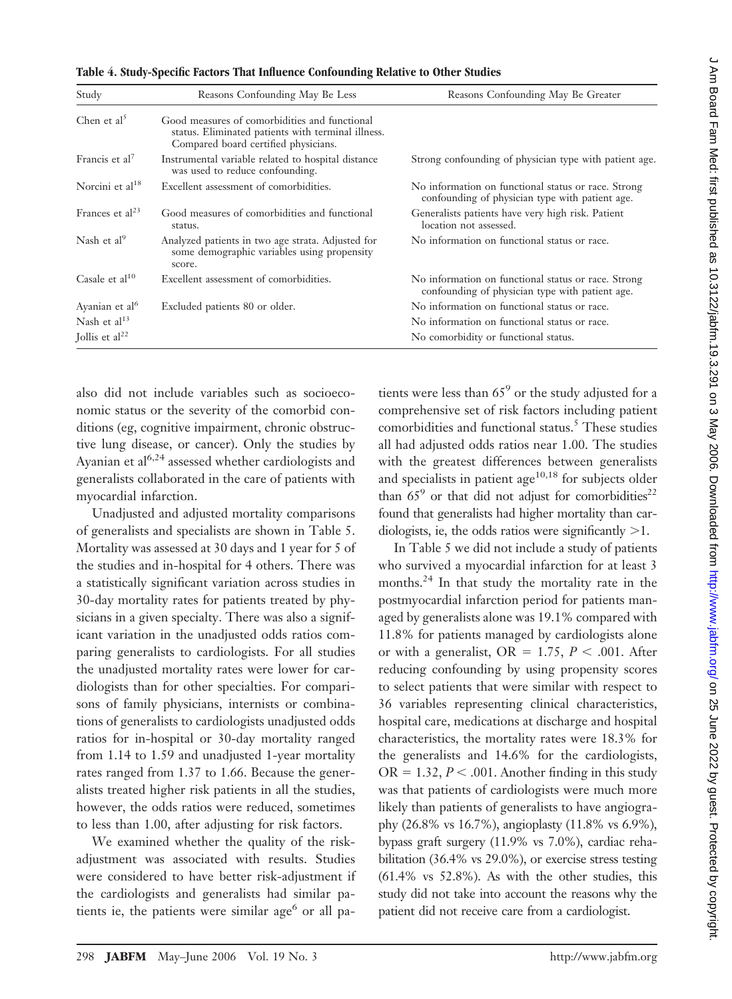| Study                      | Reasons Confounding May Be Less                                                                                                             | Reasons Confounding May Be Greater                                                                     |
|----------------------------|---------------------------------------------------------------------------------------------------------------------------------------------|--------------------------------------------------------------------------------------------------------|
| Chen et $al5$              | Good measures of comorbidities and functional<br>status. Eliminated patients with terminal illness.<br>Compared board certified physicians. |                                                                                                        |
| Francis et al <sup>7</sup> | Instrumental variable related to hospital distance<br>was used to reduce confounding.                                                       | Strong confounding of physician type with patient age.                                                 |
| Norcini et al $18$         | Excellent assessment of comorbidities.                                                                                                      | No information on functional status or race. Strong<br>confounding of physician type with patient age. |
| Frances et $al23$          | Good measures of comorbidities and functional<br>status.                                                                                    | Generalists patients have very high risk. Patient<br>location not assessed.                            |
| Nash et al <sup>9</sup>    | Analyzed patients in two age strata. Adjusted for<br>some demographic variables using propensity<br>score.                                  | No information on functional status or race.                                                           |
| Casale et $al^{10}$        | Excellent assessment of comorbidities.                                                                                                      | No information on functional status or race. Strong<br>confounding of physician type with patient age. |
| Ayanian et al <sup>6</sup> | Excluded patients 80 or older.                                                                                                              | No information on functional status or race.                                                           |
| Nash et al <sup>13</sup>   |                                                                                                                                             | No information on functional status or race.                                                           |
| Jollis et $al22$           |                                                                                                                                             | No comorbidity or functional status.                                                                   |

**Table 4. Study-Specific Factors That Influence Confounding Relative to Other Studies**

also did not include variables such as socioeconomic status or the severity of the comorbid conditions (eg, cognitive impairment, chronic obstructive lung disease, or cancer). Only the studies by Ayanian et  $al^{6,24}$  assessed whether cardiologists and generalists collaborated in the care of patients with myocardial infarction.

Unadjusted and adjusted mortality comparisons of generalists and specialists are shown in Table 5. Mortality was assessed at 30 days and 1 year for 5 of the studies and in-hospital for 4 others. There was a statistically significant variation across studies in 30-day mortality rates for patients treated by physicians in a given specialty. There was also a significant variation in the unadjusted odds ratios comparing generalists to cardiologists. For all studies the unadjusted mortality rates were lower for cardiologists than for other specialties. For comparisons of family physicians, internists or combinations of generalists to cardiologists unadjusted odds ratios for in-hospital or 30-day mortality ranged from 1.14 to 1.59 and unadjusted 1-year mortality rates ranged from 1.37 to 1.66. Because the generalists treated higher risk patients in all the studies, however, the odds ratios were reduced, sometimes to less than 1.00, after adjusting for risk factors.

We examined whether the quality of the riskadjustment was associated with results. Studies were considered to have better risk-adjustment if the cardiologists and generalists had similar patients ie, the patients were similar age $<sup>6</sup>$  or all pa-</sup> tients were less than  $65^{\circ}$  or the study adjusted for a comprehensive set of risk factors including patient comorbidities and functional status.<sup>5</sup> These studies all had adjusted odds ratios near 1.00. The studies with the greatest differences between generalists and specialists in patient age $10,18$  for subjects older than  $65^9$  or that did not adjust for comorbidities<sup>22</sup> found that generalists had higher mortality than cardiologists, ie, the odds ratios were significantly  $>1$ .

In Table 5 we did not include a study of patients who survived a myocardial infarction for at least 3 months.<sup>24</sup> In that study the mortality rate in the postmyocardial infarction period for patients managed by generalists alone was 19.1% compared with 11.8% for patients managed by cardiologists alone or with a generalist,  $OR = 1.75$ ,  $P < .001$ . After reducing confounding by using propensity scores to select patients that were similar with respect to 36 variables representing clinical characteristics, hospital care, medications at discharge and hospital characteristics, the mortality rates were 18.3% for the generalists and 14.6% for the cardiologists,  $OR = 1.32, P < .001$ . Another finding in this study was that patients of cardiologists were much more likely than patients of generalists to have angiography (26.8% vs 16.7%), angioplasty (11.8% vs 6.9%), bypass graft surgery (11.9% vs 7.0%), cardiac rehabilitation (36.4% vs 29.0%), or exercise stress testing (61.4% vs 52.8%). As with the other studies, this study did not take into account the reasons why the patient did not receive care from a cardiologist.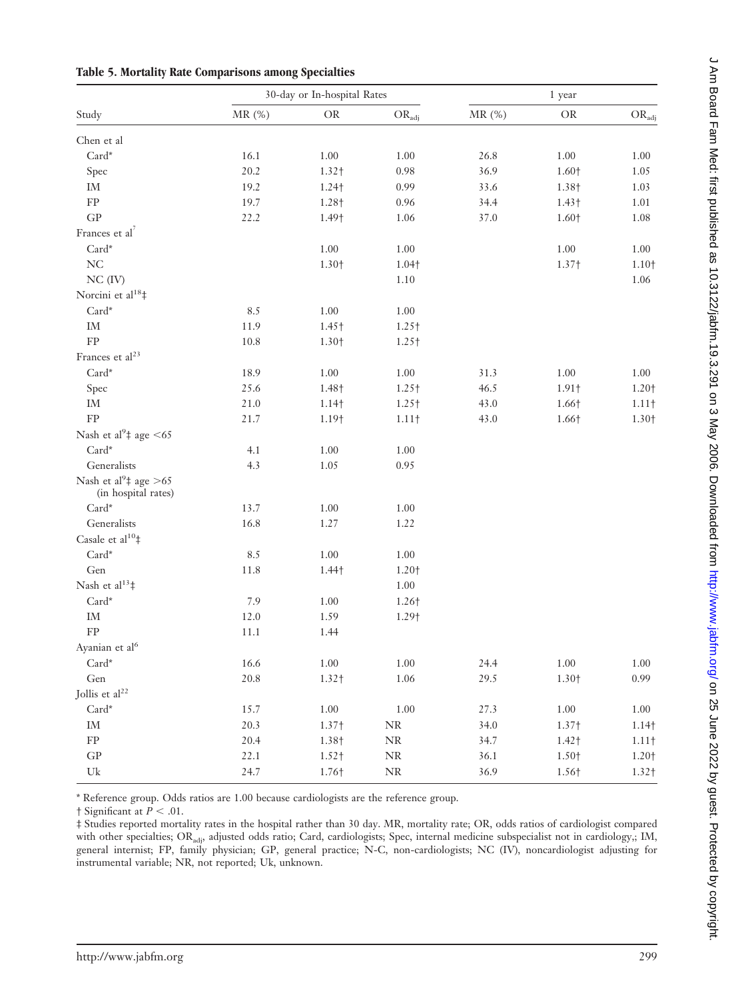|                                                          |                   | 30-day or In-hospital Rates |                    |       | 1 year   |                   |
|----------------------------------------------------------|-------------------|-----------------------------|--------------------|-------|----------|-------------------|
| Study                                                    | $M\mathrm{R}$ (%) | $\rm OR$                    | $\rm OR_{\rm adj}$ | MR(%) | $\rm OR$ | $OR_{ad}$         |
| Chen et al                                               |                   |                             |                    |       |          |                   |
| $Card^*$                                                 | 16.1              | $1.00\,$                    | 1.00               | 26.8  | $1.00\,$ | 1.00              |
| Spec                                                     | 20.2              | 1.32+                       | 0.98               | 36.9  | 1.60+    | 1.05              |
| $\operatorname{IM}$                                      | 19.2              | 1.24†                       | 0.99               | 33.6  | 1.38+    | 1.03              |
| ${\rm FP}$                                               | 19.7              | 1.28+                       | 0.96               | 34.4  | $1.43+$  | 1.01              |
| GP                                                       | 22.2              | 1.49†                       | 1.06               | 37.0  | 1.60+    | 1.08              |
| Frances et al <sup>7</sup>                               |                   |                             |                    |       |          |                   |
| $\operatorname{Card}^{\star}$                            |                   | $1.00\,$                    | $1.00\,$           |       | $1.00\,$ | 1.00              |
| $\rm NC$                                                 |                   | 1.30+                       | 1.04†              |       | 1.37†    | 1.10+             |
| $NC$ (IV)                                                |                   |                             | 1.10               |       |          | 1.06              |
| Norcini et al <sup>18</sup> ‡                            |                   |                             |                    |       |          |                   |
| $\operatorname{Card}^{\star}$                            | 8.5               | $1.00\,$                    | $1.00\,$           |       |          |                   |
| $\operatorname{IM}$                                      | 11.9              | 1.45+                       | 1.25+              |       |          |                   |
| ${\rm FP}$                                               | 10.8              | 1.30+                       | 1.25+              |       |          |                   |
| Frances et al <sup>23</sup>                              |                   |                             |                    |       |          |                   |
| $Card^*$                                                 | 18.9              | $1.00\,$                    | $1.00\,$           | 31.3  | $1.00\,$ | 1.00              |
| Spec                                                     | 25.6              | 1.48†                       | 1.25+              | 46.5  | 1.91†    | 1.20+             |
| $\operatorname{IM}$                                      | 21.0              | 1.14 <sup>†</sup>           | 1.25+              | 43.0  | 1.66†    | $1.11\dagger$     |
| ${\rm FP}$                                               | 21.7              | 1.19†                       | $1.11\dagger$      | 43.0  | 1.66†    | 1.30+             |
| Nash et al <sup>9</sup> ‡ age <65                        |                   |                             |                    |       |          |                   |
| Card*                                                    | 4.1               | $1.00\,$                    | 1.00               |       |          |                   |
| Generalists                                              | 4.3               | 1.05                        | 0.95               |       |          |                   |
| Nash et al <sup>9</sup> ‡ age >65<br>(in hospital rates) |                   |                             |                    |       |          |                   |
| $\operatorname{Card}^{\star}$                            | 13.7              | 1.00                        | 1.00               |       |          |                   |
| Generalists                                              | 16.8              | 1.27                        | 1.22               |       |          |                   |
| Casale et al <sup>10</sup> #                             |                   |                             |                    |       |          |                   |
| $\operatorname{Card}^{\star}$                            | 8.5               | $1.00\,$                    | 1.00               |       |          |                   |
| Gen                                                      | 11.8              | $1.44\dagger$               | 1.20+              |       |          |                   |
| Nash et al <sup>13</sup> #                               |                   |                             | 1.00               |       |          |                   |
| $\operatorname{Card}^{\star}$                            | 7.9               | 1.00                        | 1.26 <sup>+</sup>  |       |          |                   |
| $\operatorname{IM}$                                      | 12.0              | 1.59                        | 1.29†              |       |          |                   |
| ${\rm FP}$                                               | 11.1              | 1.44                        |                    |       |          |                   |
| Ayanian et al <sup>6</sup>                               |                   |                             |                    |       |          |                   |
| $\operatorname{Card}^{\star}$                            | 16.6              | $1.00\,$                    | 1.00               | 24.4  | $1.00\,$ | $1.00\,$          |
| Gen                                                      | 20.8              | 1.32+                       | 1.06               | 29.5  | 1.30+    | 0.99              |
| Jollis et al <sup>22</sup>                               |                   |                             |                    |       |          |                   |
| $\operatorname{Card}^{\star}$                            | 15.7              | $1.00\,$                    | 1.00               | 27.3  | $1.00\,$ | 1.00              |
| $\operatorname{IM}$                                      | 20.3              | 1.37†                       | $\rm NR$           | 34.0  | 1.37†    | 1.14 <sub>†</sub> |
| ${\rm FP}$                                               | 20.4              | 1.38+                       | $\rm NR$           | 34.7  | 1.42†    | $1.11\dagger$     |
| $\mbox{G}\mbox{P}$                                       | 22.1              | 1.52†                       | $\rm NR$           | 36.1  | 1.50+    | 1.20+             |
| $\ensuremath{\mathrm{Uk}}$                               | 24.7              | 1.76†                       | $\rm NR$           | 36.9  | 1.56+    | 1.32 <sub>†</sub> |

**Table 5. Mortality Rate Comparisons among Specialties**

\* Reference group. Odds ratios are 1.00 because cardiologists are the reference group.

 $\dagger$  Significant at  $P < .01$ .

‡ Studies reported mortality rates in the hospital rather than 30 day. MR, mortality rate; OR, odds ratios of cardiologist compared with other specialties; ORadj, adjusted odds ratio; Card, cardiologists; Spec, internal medicine subspecialist not in cardiology,; IM, general internist; FP, family physician; GP, general practice; N-C, non-cardiologists; NC (IV), noncardiologist adjusting for instrumental variable; NR, not reported; Uk, unknown.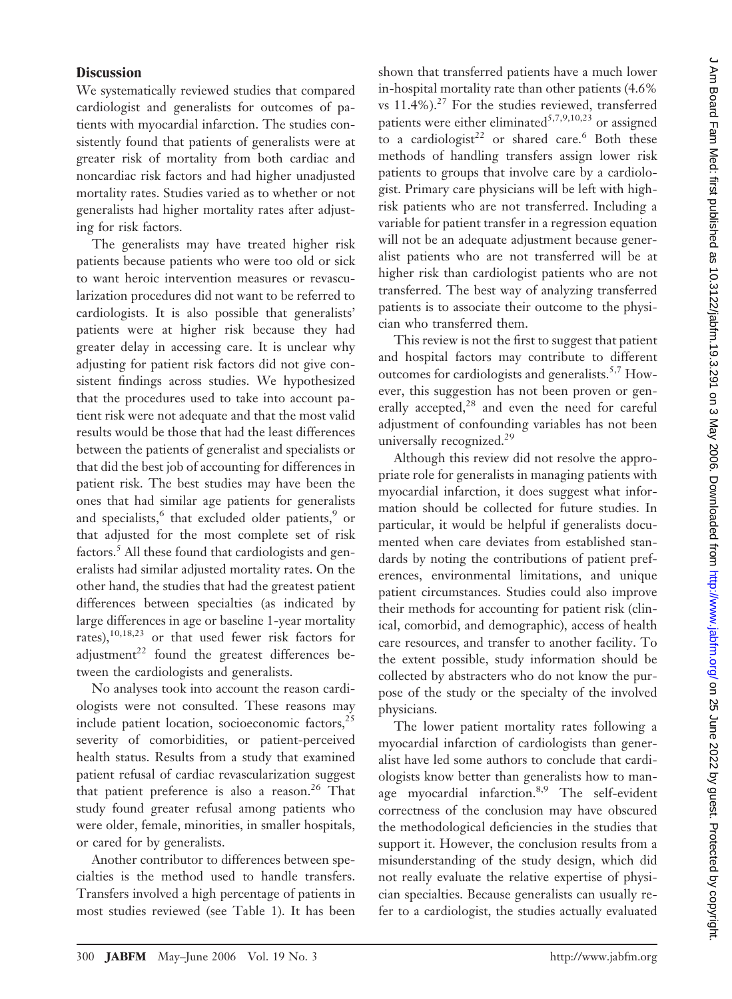## **Discussion**

We systematically reviewed studies that compared cardiologist and generalists for outcomes of patients with myocardial infarction. The studies consistently found that patients of generalists were at greater risk of mortality from both cardiac and noncardiac risk factors and had higher unadjusted mortality rates. Studies varied as to whether or not generalists had higher mortality rates after adjusting for risk factors.

The generalists may have treated higher risk patients because patients who were too old or sick to want heroic intervention measures or revascularization procedures did not want to be referred to cardiologists. It is also possible that generalists' patients were at higher risk because they had greater delay in accessing care. It is unclear why adjusting for patient risk factors did not give consistent findings across studies. We hypothesized that the procedures used to take into account patient risk were not adequate and that the most valid results would be those that had the least differences between the patients of generalist and specialists or that did the best job of accounting for differences in patient risk. The best studies may have been the ones that had similar age patients for generalists and specialists,<sup>6</sup> that excluded older patients,<sup>9</sup> or that adjusted for the most complete set of risk factors.5 All these found that cardiologists and generalists had similar adjusted mortality rates. On the other hand, the studies that had the greatest patient differences between specialties (as indicated by large differences in age or baseline 1-year mortality rates),10,18,23 or that used fewer risk factors for adjustment<sup>22</sup> found the greatest differences between the cardiologists and generalists.

No analyses took into account the reason cardiologists were not consulted. These reasons may include patient location, socioeconomic factors, $^{25}$ severity of comorbidities, or patient-perceived health status. Results from a study that examined patient refusal of cardiac revascularization suggest that patient preference is also a reason.<sup>26</sup> That study found greater refusal among patients who were older, female, minorities, in smaller hospitals, or cared for by generalists.

Another contributor to differences between specialties is the method used to handle transfers. Transfers involved a high percentage of patients in most studies reviewed (see Table 1). It has been shown that transferred patients have a much lower in-hospital mortality rate than other patients (4.6% vs  $11.4\%$ ).<sup>27</sup> For the studies reviewed, transferred patients were either eliminated<sup>5,7,9,10,23</sup> or assigned to a cardiologist<sup>22</sup> or shared care.<sup>6</sup> Both these methods of handling transfers assign lower risk patients to groups that involve care by a cardiologist. Primary care physicians will be left with highrisk patients who are not transferred. Including a variable for patient transfer in a regression equation will not be an adequate adjustment because generalist patients who are not transferred will be at higher risk than cardiologist patients who are not transferred. The best way of analyzing transferred patients is to associate their outcome to the physician who transferred them.

This review is not the first to suggest that patient and hospital factors may contribute to different outcomes for cardiologists and generalists.<sup>5,7</sup> However, this suggestion has not been proven or generally accepted,<sup>28</sup> and even the need for careful adjustment of confounding variables has not been universally recognized.<sup>29</sup>

Although this review did not resolve the appropriate role for generalists in managing patients with myocardial infarction, it does suggest what information should be collected for future studies. In particular, it would be helpful if generalists documented when care deviates from established standards by noting the contributions of patient preferences, environmental limitations, and unique patient circumstances. Studies could also improve their methods for accounting for patient risk (clinical, comorbid, and demographic), access of health care resources, and transfer to another facility. To the extent possible, study information should be collected by abstracters who do not know the purpose of the study or the specialty of the involved physicians.

The lower patient mortality rates following a myocardial infarction of cardiologists than generalist have led some authors to conclude that cardiologists know better than generalists how to manage myocardial infarction.<sup>8,9</sup> The self-evident correctness of the conclusion may have obscured the methodological deficiencies in the studies that support it. However, the conclusion results from a misunderstanding of the study design, which did not really evaluate the relative expertise of physician specialties. Because generalists can usually refer to a cardiologist, the studies actually evaluated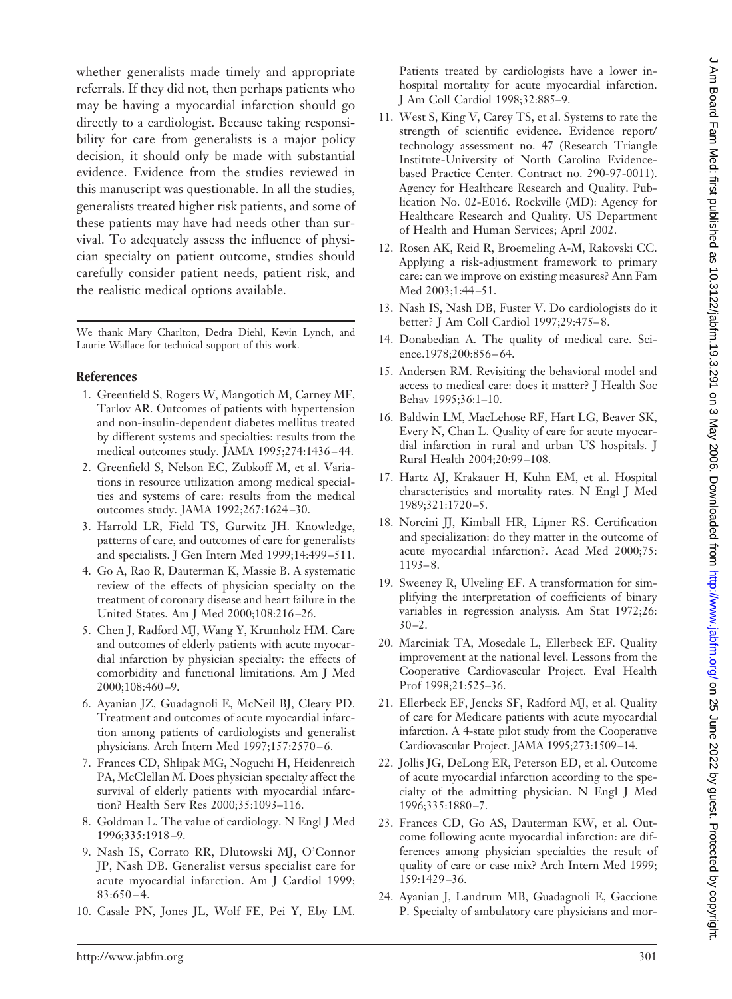whether generalists made timely and appropriate referrals. If they did not, then perhaps patients who may be having a myocardial infarction should go directly to a cardiologist. Because taking responsibility for care from generalists is a major policy decision, it should only be made with substantial evidence. Evidence from the studies reviewed in this manuscript was questionable. In all the studies, generalists treated higher risk patients, and some of these patients may have had needs other than survival. To adequately assess the influence of physician specialty on patient outcome, studies should carefully consider patient needs, patient risk, and the realistic medical options available.

We thank Mary Charlton, Dedra Diehl, Kevin Lynch, and Laurie Wallace for technical support of this work.

#### **References**

- 1. Greenfield S, Rogers W, Mangotich M, Carney MF, Tarlov AR. Outcomes of patients with hypertension and non-insulin-dependent diabetes mellitus treated by different systems and specialties: results from the medical outcomes study. JAMA 1995;274:1436 – 44.
- 2. Greenfield S, Nelson EC, Zubkoff M, et al. Variations in resource utilization among medical specialties and systems of care: results from the medical outcomes study. JAMA 1992;267:1624 –30.
- 3. Harrold LR, Field TS, Gurwitz JH. Knowledge, patterns of care, and outcomes of care for generalists and specialists. J Gen Intern Med 1999;14:499 –511.
- 4. Go A, Rao R, Dauterman K, Massie B. A systematic review of the effects of physician specialty on the treatment of coronary disease and heart failure in the United States. Am J Med 2000;108:216 –26.
- 5. Chen J, Radford MJ, Wang Y, Krumholz HM. Care and outcomes of elderly patients with acute myocardial infarction by physician specialty: the effects of comorbidity and functional limitations. Am J Med 2000;108:460 –9.
- 6. Ayanian JZ, Guadagnoli E, McNeil BJ, Cleary PD. Treatment and outcomes of acute myocardial infarction among patients of cardiologists and generalist physicians. Arch Intern Med 1997;157:2570 – 6.
- 7. Frances CD, Shlipak MG, Noguchi H, Heidenreich PA, McClellan M. Does physician specialty affect the survival of elderly patients with myocardial infarction? Health Serv Res 2000;35:1093–116.
- 8. Goldman L. The value of cardiology. N Engl J Med 1996;335:1918 –9.
- 9. Nash IS, Corrato RR, Dlutowski MJ, O'Connor JP, Nash DB. Generalist versus specialist care for acute myocardial infarction. Am J Cardiol 1999;  $83:650 - 4.$
- 10. Casale PN, Jones JL, Wolf FE, Pei Y, Eby LM.

Patients treated by cardiologists have a lower inhospital mortality for acute myocardial infarction. J Am Coll Cardiol 1998;32:885–9.

- 11. West S, King V, Carey TS, et al. Systems to rate the strength of scientific evidence. Evidence report/ technology assessment no. 47 (Research Triangle Institute-University of North Carolina Evidencebased Practice Center. Contract no. 290-97-0011). Agency for Healthcare Research and Quality. Publication No. 02-E016. Rockville (MD): Agency for Healthcare Research and Quality. US Department of Health and Human Services; April 2002.
- 12. Rosen AK, Reid R, Broemeling A-M, Rakovski CC. Applying a risk-adjustment framework to primary care: can we improve on existing measures? Ann Fam Med 2003;1:44 –51.
- 13. Nash IS, Nash DB, Fuster V. Do cardiologists do it better? J Am Coll Cardiol 1997;29:475– 8.
- 14. Donabedian A. The quality of medical care. Science.1978;200:856-64.
- 15. Andersen RM. Revisiting the behavioral model and access to medical care: does it matter? J Health Soc Behav 1995;36:1–10.
- 16. Baldwin LM, MacLehose RF, Hart LG, Beaver SK, Every N, Chan L. Quality of care for acute myocardial infarction in rural and urban US hospitals. J Rural Health 2004;20:99 –108.
- 17. Hartz AJ, Krakauer H, Kuhn EM, et al. Hospital characteristics and mortality rates. N Engl J Med 1989;321:1720 –5.
- 18. Norcini JJ, Kimball HR, Lipner RS. Certification and specialization: do they matter in the outcome of acute myocardial infarction?. Acad Med 2000;75: 1193– 8.
- 19. Sweeney R, Ulveling EF. A transformation for simplifying the interpretation of coefficients of binary variables in regression analysis. Am Stat 1972;26:  $30 - 2$ .
- 20. Marciniak TA, Mosedale L, Ellerbeck EF. Quality improvement at the national level. Lessons from the Cooperative Cardiovascular Project. Eval Health Prof 1998;21:525–36.
- 21. Ellerbeck EF, Jencks SF, Radford MJ, et al. Quality of care for Medicare patients with acute myocardial infarction. A 4-state pilot study from the Cooperative Cardiovascular Project. JAMA 1995;273:1509 –14.
- 22. Jollis JG, DeLong ER, Peterson ED, et al. Outcome of acute myocardial infarction according to the specialty of the admitting physician. N Engl J Med 1996;335:1880 –7.
- 23. Frances CD, Go AS, Dauterman KW, et al. Outcome following acute myocardial infarction: are differences among physician specialties the result of quality of care or case mix? Arch Intern Med 1999; 159:1429 –36.
- 24. Ayanian J, Landrum MB, Guadagnoli E, Gaccione P. Specialty of ambulatory care physicians and mor-